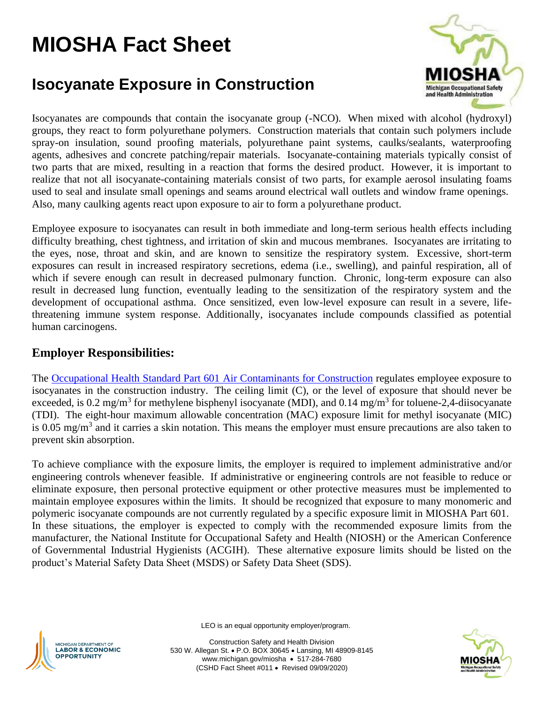# **MIOSHA Fact Sheet**

## **Isocyanate Exposure in Construction**



Isocyanates are compounds that contain the isocyanate group (-NCO). When mixed with alcohol (hydroxyl) groups, they react to form polyurethane polymers. Construction materials that contain such polymers include spray-on insulation, sound proofing materials, polyurethane paint systems, caulks/sealants, waterproofing agents, adhesives and concrete patching/repair materials. Isocyanate-containing materials typically consist of two parts that are mixed, resulting in a reaction that forms the desired product. However, it is important to realize that not all isocyanate-containing materials consist of two parts, for example aerosol insulating foams used to seal and insulate small openings and seams around electrical wall outlets and window frame openings. Also, many caulking agents react upon exposure to air to form a polyurethane product.

Employee exposure to isocyanates can result in both immediate and long-term serious health effects including difficulty breathing, chest tightness, and irritation of skin and mucous membranes. Isocyanates are irritating to the eyes, nose, throat and skin, and are known to sensitize the respiratory system. Excessive, short-term exposures can result in increased respiratory secretions, edema (i.e., swelling), and painful respiration, all of which if severe enough can result in decreased pulmonary function. Chronic, long-term exposure can also result in decreased lung function, eventually leading to the sensitization of the respiratory system and the development of occupational asthma. Once sensitized, even low-level exposure can result in a severe, lifethreatening immune system response. Additionally, isocyanates include compounds classified as potential human carcinogens.

#### **Employer Responsibilities:**

The [Occupational Health Standard Part 601 Air Contaminants for Construction](http://www.michigan.gov/documents/lara/lara_miosha_part601_426874_7.pdf) regulates employee exposure to isocyanates in the construction industry. The ceiling limit (C), or the level of exposure that should never be exceeded, is 0.2 mg/m<sup>3</sup> for methylene bisphenyl isocyanate (MDI), and 0.14 mg/m<sup>3</sup> for toluene-2,4-diisocyanate (TDI). The eight-hour maximum allowable concentration (MAC) exposure limit for methyl isocyanate (MIC) is 0.05 mg/m<sup>3</sup> and it carries a skin notation. This means the employer must ensure precautions are also taken to prevent skin absorption.

To achieve compliance with the exposure limits, the employer is required to implement administrative and/or engineering controls whenever feasible. If administrative or engineering controls are not feasible to reduce or eliminate exposure, then personal protective equipment or other protective measures must be implemented to maintain employee exposures within the limits. It should be recognized that exposure to many monomeric and polymeric isocyanate compounds are not currently regulated by a specific exposure limit in MIOSHA Part 601. In these situations, the employer is expected to comply with the recommended exposure limits from the manufacturer, the National Institute for Occupational Safety and Health (NIOSH) or the American Conference of Governmental Industrial Hygienists (ACGIH). These alternative exposure limits should be listed on the product's Material Safety Data Sheet (MSDS) or Safety Data Sheet (SDS).



LEO is an equal opportunity employer/program.

Construction Safety and Health Division 530 W. Allegan St. • P.O. BOX 30645 • Lansing, MI 48909-8145 www.michigan.gov/miosha • 517-284-7680 (CSHD Fact Sheet #011 • Revised 09/09/2020)